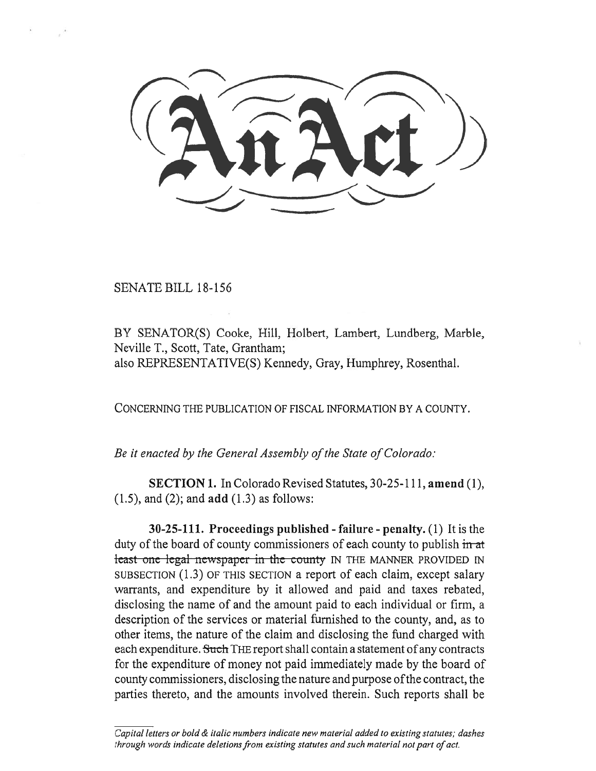SENATE BILL 18-156

BY SENATOR(S) Cooke, Hill, Holbert, Lambert, Lundberg, Marble, Neville T., Scott, Tate, Grantham; also REPRESENTATIVE(S) Kennedy, Gray, Humphrey, Rosenthal.

CONCERNING THE PUBLICATION OF FISCAL INFORMATION BY A COUNTY.

*Be it enacted by the General Assembly of the State of Colorado:* 

**SECTION 1.** In Colorado Revised Statutes, 30-25-111, **amend** (1), (1.5), and (2); and **add** (1.3) as follows:

**30-25-111. Proceedings published - failure - penalty.** (1) It is the duty of the board of county commissioners of each county to publish in at teast one legal newspaper in the county IN THE MANNER PROVIDED IN SUBSECTION (1.3) OF THIS SECTION a report of each claim, except salary warrants, and expenditure by it allowed and paid and taxes rebated, disclosing the name of and the amount paid to each individual or firm, a description of the services or material furnished to the county, and, as to other items, the nature of the claim and disclosing the fund charged with each expenditure. Such THE report shall contain a statement of any contracts for the expenditure of money not paid immediately made by the board of county commissioners, disclosing the nature and purpose of the contract, the parties thereto, and the amounts involved therein. Such reports shall be

*Capital letters or bold & italic numbers indicate new material added to existing statutes; dashes through words indicate deletions from existing statutes and such material not part of act.*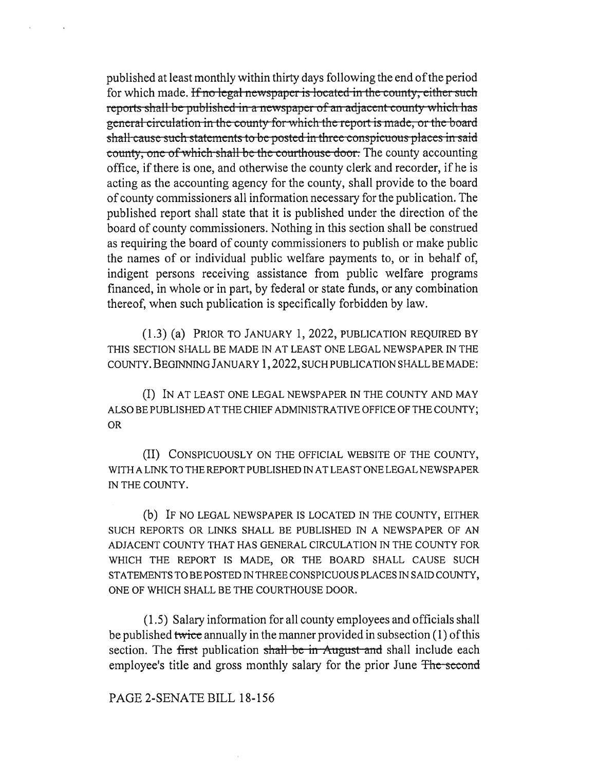published at least monthly within thirty days following the end of the period for which made. If no legal newspaper is located in the county, either such reports shall be published in a newspaper of an adjacent county which has general circulation in the county for which the report is made, or the board shall cause such statements to be posted in three conspicuous places in said county, one of which shall be the courthouse door. The county accounting office, if there is one, and otherwise the county clerk and recorder, if he is acting as the accounting agency for the county, shall provide to the board of county commissioners all information necessary for the publication. The published report shall state that it is published under the direction of the board of county commissioners. Nothing in this section shall be construed as requiring the board of county commissioners to publish or make public the names of or individual public welfare payments to, or in behalf of, indigent persons receiving assistance from public welfare programs financed, in whole or in part, by federal or state funds, or any combination thereof, when such publication is specifically forbidden by law.

(1.3) (a) PRIOR TO JANUARY 1, 2022, PUBLICATION REQUIRED BY THIS SECTION SHALL BE MADE IN AT LEAST ONE LEGAL NEWSPAPER IN THE COUNTY. BEGINNING JANUARY 1, 2022, SUCH PUBLICATION SHALL BE MADE:

(I) IN AT LEAST ONE LEGAL NEWSPAPER IN THE COUNTY AND MAY ALSO BE PUBLISHED AT THE CHIEF ADMINISTRATIVE OFFICE OF THE COUNTY; OR

(II) CONSPICUOUSLY ON THE OFFICIAL WEBSITE OF THE COUNTY, WITH A LINK TO THE REPORT PUBLISHED IN AT LEAST ONE LEGAL NEWSPAPER IN THE COUNTY.

(b) IF NO LEGAL NEWSPAPER IS LOCATED IN THE COUNTY, EITHER SUCH REPORTS OR LINKS SHALL BE PUBLISHED IN A NEWSPAPER OF AN ADJACENT COUNTY THAT HAS GENERAL CIRCULATION IN THE COUNTY FOR WHICH THE REPORT IS MADE, OR THE BOARD SHALL CAUSE SUCH STATEMENTS TO BE POSTED IN THREE CONSPICUOUS PLACES IN SAID COUNTY, ONE OF WHICH SHALL BE THE COURTHOUSE DOOR.

(1.5) Salary information for all county employees and officials shall be published twice annually in the manner provided in subsection  $(1)$  of this section. The first publication shall be in August and shall include each employee's title and gross monthly salary for the prior June The second

## PAGE 2-SENATE BILL 18-156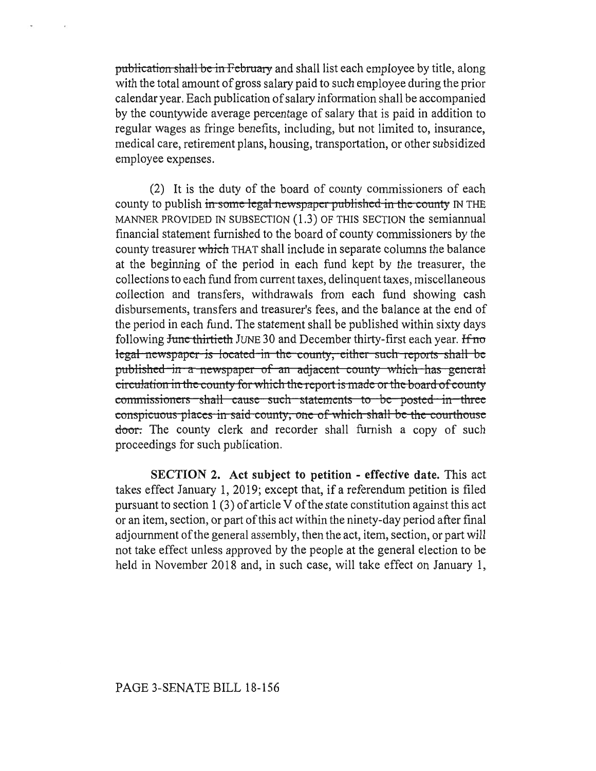publication shall be in February and shall list each employee by title, along with the total amount of gross salary paid to such employee during the prior calendar year. Each publication of salary information shall be accompanied by the countywide average percentage of salary that is paid in addition to regular wages as fringe benefits, including, but not limited to, insurance, medical care, retirement plans, housing, transportation, or other subsidized employee expenses.

(2) It is the duty of the board of county commissioners of each county to publish in some legal-newspaper-published in the county IN THE MANNER PROVIDED IN SUBSECTION (1.3) OF THIS SECTION the semiannual financial statement furnished to the board of county commissioners by the county treasurer which THAT shall include in separate columns the balance at the beginning of the period in each fund kept by the treasurer, the collections to each fund from current taxes, delinquent taxes, miscellaneous collection and transfers, withdrawals from each fund showing cash disbursements, transfers and treasurer's fees, and the balance at the end of the period in each fund. The statement shall be published within sixty days following June thirtieth JUNE 30 and December thirty-first each year. If no legal newspaper is located in the county, either such reports shall be published in a newspaper of an adjacent county which has general published in a howspaper of an adjacent county which has general commissioners-shall-cause-such-statements to-be-posted-in-three conspicuous placcs in said county, one of which shall be the courthouse door. The county clerk and recorder shall furnish a copy of such proceedings for such publication.

**SECTION 2. Act subject to petition - effective date.** This act takes effect January 1, 2019; except that, if a referendum petition is filed pursuant to section 1 (3) of article V of the state constitution against this act or an item, section, or part of this act within the ninety-day period after final adjournment of the general assembly, then the act, item, section, or part will not take effect unless approved by the people at the general election to be held in November 2018 and, in such case, will take effect on January 1,